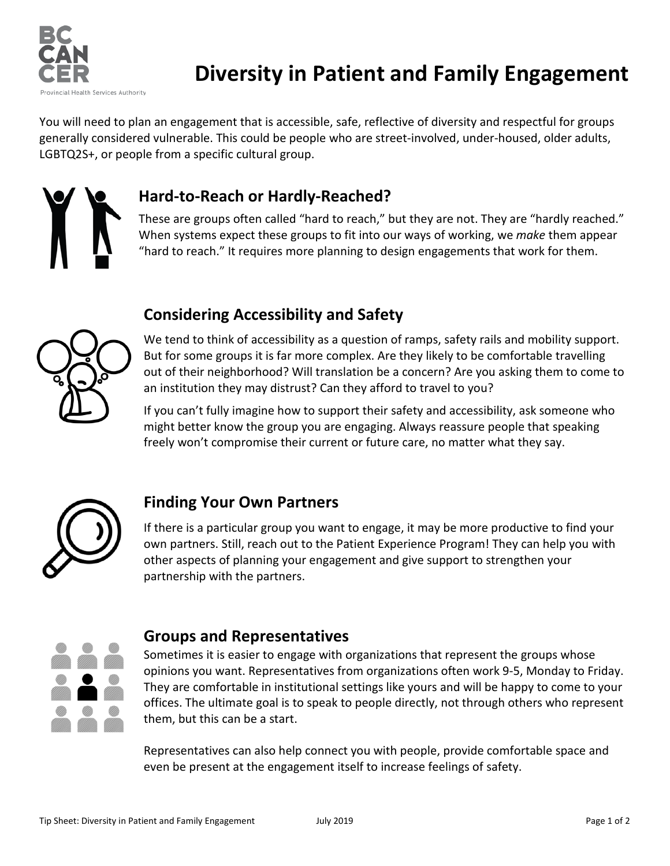

# **Diversity in Patient and Family Engagement**

You will need to plan an engagement that is accessible, safe, reflective of diversity and respectful for groups generally considered vulnerable. This could be people who are street-involved, under-housed, older adults, LGBTQ2S+, or people from a specific cultural group.

## **Hard-to-Reach or Hardly-Reached?**

These are groups often called "hard to reach," but they are not. They are "hardly reached." When systems expect these groups to fit into our ways of working, we *make* them appear "hard to reach." It requires more planning to design engagements that work for them.

## **Considering Accessibility and Safety**



We tend to think of accessibility as a question of ramps, safety rails and mobility support. But for some groups it is far more complex. Are they likely to be comfortable travelling out of their neighborhood? Will translation be a concern? Are you asking them to come to an institution they may distrust? Can they afford to travel to you?

If you can't fully imagine how to support their safety and accessibility, ask someone who might better know the group you are engaging. Always reassure people that speaking freely won't compromise their current or future care, no matter what they say.



### **Finding Your Own Partners**

If there is a particular group you want to engage, it may be more productive to find your own partners. Still, reach out to the Patient Experience Program! They can help you with other aspects of planning your engagement and give support to strengthen your partnership with the partners.



#### **Groups and Representatives**

Sometimes it is easier to engage with organizations that represent the groups whose opinions you want. Representatives from organizations often work 9-5, Monday to Friday. They are comfortable in institutional settings like yours and will be happy to come to your offices. The ultimate goal is to speak to people directly, not through others who represent them, but this can be a start.

Representatives can also help connect you with people, provide comfortable space and even be present at the engagement itself to increase feelings of safety.